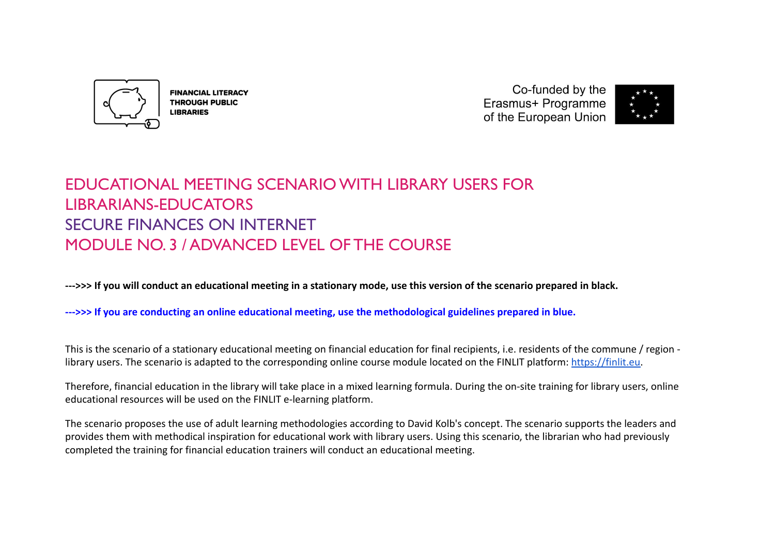

**FINANCIAL LITERACY THROUGH PUBLIC LIBRARIES** 

Co-funded by the Erasmus+ Programme of the European Union



# EDUCATIONAL MEETING SCENARIO WITH LIBRARY USERS FOR LIBRARIANS-EDUCATORS SECURE FINANCES ON INTERNET MODULE NO. 3 / ADVANCED LEVEL OF THE COURSE

**--->>> If you will conduct an educational meeting in a stationary mode, use this version of the scenario prepared in black.**

**--->>> If you are conducting an online educational meeting, use the methodological guidelines prepared in blue.**

This is the scenario of a stationary educational meeting on financial education for final recipients, i.e. residents of the commune / region library users. The scenario is adapted to the corresponding online course module located on the FINLIT platform: [https://finlit.eu.](https://finlit.eu)

Therefore, financial education in the library will take place in a mixed learning formula. During the on-site training for library users, online educational resources will be used on the FINLIT e-learning platform.

The scenario proposes the use of adult learning methodologies according to David Kolb's concept. The scenario supports the leaders and provides them with methodical inspiration for educational work with library users. Using this scenario, the librarian who had previously completed the training for financial education trainers will conduct an educational meeting.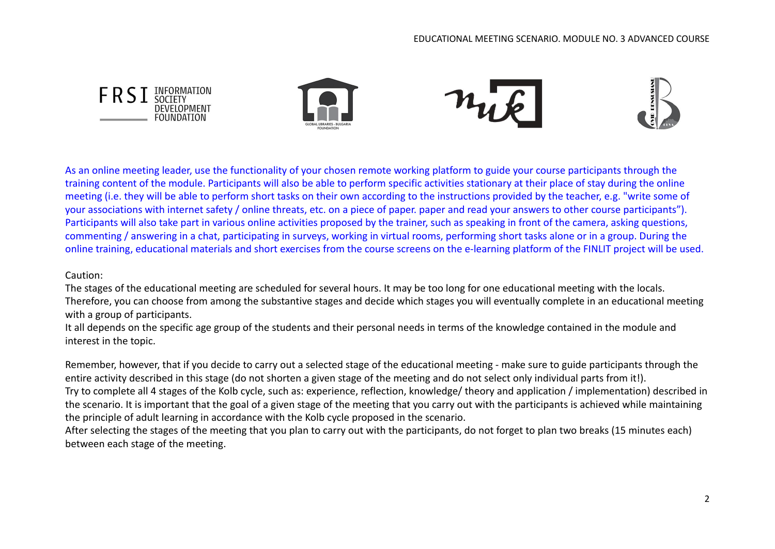

As an online meeting leader, use the functionality of your chosen remote working platform to guide your course participants through the training content of the module. Participants will also be able to perform specific activities stationary at their place of stay during the online meeting (i.e. they will be able to perform short tasks on their own according to the instructions provided by the teacher, e.g. "write some of your associations with internet safety / online threats, etc. on a piece of paper. paper and read your answers to other course participants"). Participants will also take part in various online activities proposed by the trainer, such as speaking in front of the camera, asking questions, commenting / answering in a chat, participating in surveys, working in virtual rooms, performing short tasks alone or in a group. During the online training, educational materials and short exercises from the course screens on the e-learning platform of the FINLIT project will be used.

#### Caution:

The stages of the educational meeting are scheduled for several hours. It may be too long for one educational meeting with the locals. Therefore, you can choose from among the substantive stages and decide which stages you will eventually complete in an educational meeting with a group of participants.

It all depends on the specific age group of the students and their personal needs in terms of the knowledge contained in the module and interest in the topic.

Remember, however, that if you decide to carry out a selected stage of the educational meeting - make sure to guide participants through the entire activity described in this stage (do not shorten a given stage of the meeting and do not select only individual parts from it!). Try to complete all 4 stages of the Kolb cycle, such as: experience, reflection, knowledge/ theory and application / implementation) described in the scenario. It is important that the goal of a given stage of the meeting that you carry out with the participants is achieved while maintaining the principle of adult learning in accordance with the Kolb cycle proposed in the scenario.

After selecting the stages of the meeting that you plan to carry out with the participants, do not forget to plan two breaks (15 minutes each) between each stage of the meeting.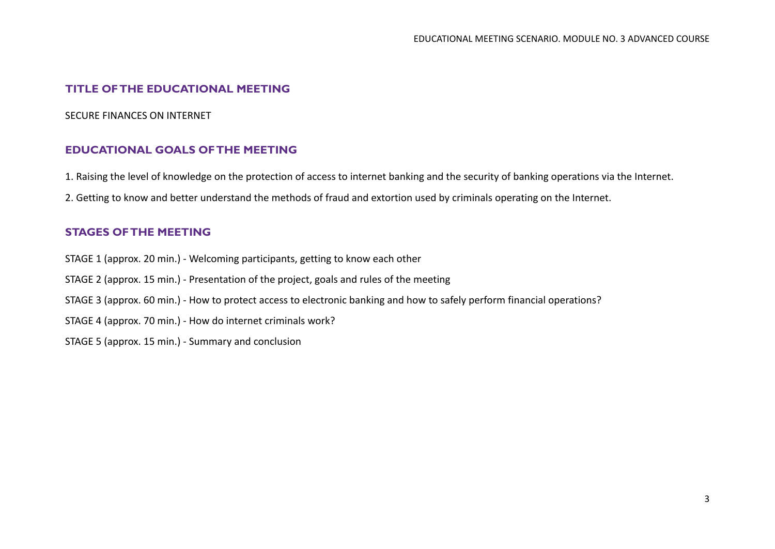# **TITLE OF THE EDUCATIONAL MEETING**

#### SECURE FINANCES ON INTERNET

## **EDUCATIONAL GOALS OF THE MEETING**

- 1. Raising the level of knowledge on the protection of access to internet banking and the security of banking operations via the Internet.
- 2. Getting to know and better understand the methods of fraud and extortion used by criminals operating on the Internet.

#### **STAGES OF THE MEETING**

- STAGE 1 (approx. 20 min.) Welcoming participants, getting to know each other
- STAGE 2 (approx. 15 min.) Presentation of the project, goals and rules of the meeting
- STAGE 3 (approx. 60 min.) How to protect access to electronic banking and how to safely perform financial operations?
- STAGE 4 (approx. 70 min.) How do internet criminals work?
- STAGE 5 (approx. 15 min.) Summary and conclusion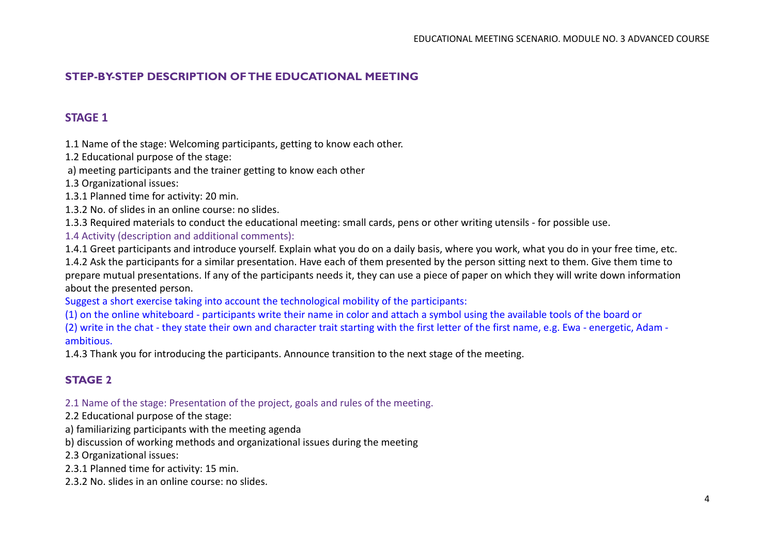# **STEP-BY-STEP DESCRIPTION OF THE EDUCATIONAL MEETING**

# **STAGE 1**

1.1 Name of the stage: Welcoming participants, getting to know each other.

1.2 Educational purpose of the stage:

a) meeting participants and the trainer getting to know each other

1.3 Organizational issues:

1.3.1 Planned time for activity: 20 min.

1.3.2 No. of slides in an online course: no slides.

1.3.3 Required materials to conduct the educational meeting: small cards, pens or other writing utensils - for possible use.

1.4 Activity (description and additional comments):

1.4.1 Greet participants and introduce yourself. Explain what you do on a daily basis, where you work, what you do in your free time, etc.

1.4.2 Ask the participants for a similar presentation. Have each of them presented by the person sitting next to them. Give them time to prepare mutual presentations. If any of the participants needs it, they can use a piece of paper on which they will write down information about the presented person.

Suggest a short exercise taking into account the technological mobility of the participants:

(1) on the online whiteboard - participants write their name in color and attach a symbol using the available tools of the board or (2) write in the chat - they state their own and character trait starting with the first letter of the first name, e.g. Ewa - energetic, Adam ambitious.

1.4.3 Thank you for introducing the participants. Announce transition to the next stage of the meeting.

# **STAGE 2**

2.1 Name of the stage: Presentation of the project, goals and rules of the meeting.

2.2 Educational purpose of the stage:

a) familiarizing participants with the meeting agenda

b) discussion of working methods and organizational issues during the meeting

2.3 Organizational issues:

2.3.1 Planned time for activity: 15 min.

2.3.2 No. slides in an online course: no slides.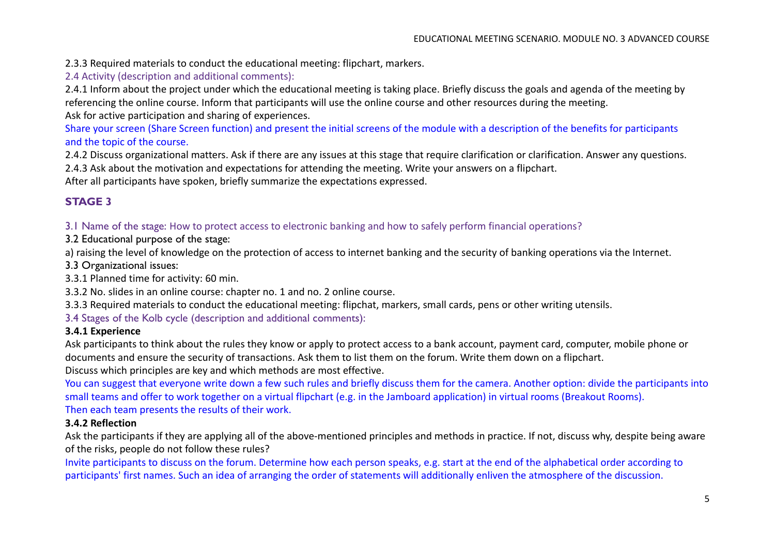2.3.3 Required materials to conduct the educational meeting: flipchart, markers.

2.4 Activity (description and additional comments):

2.4.1 Inform about the project under which the educational meeting is taking place. Briefly discuss the goals and agenda of the meeting by referencing the online course. Inform that participants will use the online course and other resources during the meeting.

Ask for active participation and sharing of experiences.

Share your screen (Share Screen function) and present the initial screens of the module with a description of the benefits for participants and the topic of the course.

2.4.2 Discuss organizational matters. Ask if there are any issues at this stage that require clarification or clarification. Answer any questions. 2.4.3 Ask about the motivation and expectations for attending the meeting. Write your answers on a flipchart.

After all participants have spoken, briefly summarize the expectations expressed.

# **STAGE 3**

3.1 Name of the stage: How to protect access to electronic banking and how to safely perform financial operations?

3.2 Educational purpose of the stage:

a) raising the level of knowledge on the protection of access to internet banking and the security of banking operations via the Internet.

3.3 Organizational issues:

3.3.1 Planned time for activity: 60 min.

3.3.2 No. slides in an online course: chapter no. 1 and no. 2 online course.

3.3.3 Required materials to conduct the educational meeting: flipchat, markers, small cards, pens or other writing utensils.

3.4 Stages of the Kolb cycle (description and additional comments):

## **3.4.1 Experience**

Ask participants to think about the rules they know or apply to protect access to a bank account, payment card, computer, mobile phone or documents and ensure the security of transactions. Ask them to list them on the forum. Write them down on a flipchart.

Discuss which principles are key and which methods are most effective.

You can suggest that everyone write down a few such rules and briefly discuss them for the camera. Another option: divide the participants into small teams and offer to work together on a virtual flipchart (e.g. in the Jamboard application) in virtual rooms (Breakout Rooms). Then each team presents the results of their work.

#### **3.4.2 Reflection**

Ask the participants if they are applying all of the above-mentioned principles and methods in practice. If not, discuss why, despite being aware of the risks, people do not follow these rules?

Invite participants to discuss on the forum. Determine how each person speaks, e.g. start at the end of the alphabetical order according to participants' first names. Such an idea of arranging the order of statements will additionally enliven the atmosphere of the discussion.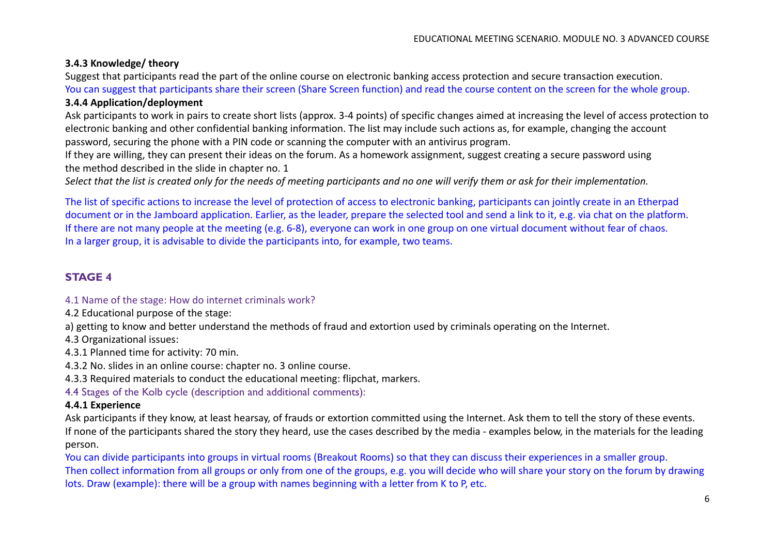#### **3.4.3 Knowledge/ theory**

Suggest that participants read the part of the online course on electronic banking access protection and secure transaction execution.

You can suggest that participants share their screen (Share Screen function) and read the course content on the screen for the whole group.

#### **3.4.4 Application/deployment**

Ask participants to work in pairs to create short lists (approx. 3-4 points) of specific changes aimed at increasing the level of access protection to electronic banking and other confidential banking information. The list may include such actions as, for example, changing the account password, securing the phone with a PIN code or scanning the computer with an antivirus program.

If they are willing, they can present their ideas on the forum. As a homework assignment, suggest creating a secure password using the method described in the slide in chapter no. 1

*Select that the list is created only for the needs of meeting participants and no one will verify them or ask for their implementation.*

The list of specific actions to increase the level of protection of access to electronic banking, participants can jointly create in an Etherpad document or in the Jamboard application. Earlier, as the leader, prepare the selected tool and send a link to it, e.g. via chat on the platform. If there are not many people at the meeting (e.g. 6-8), everyone can work in one group on one virtual document without fear of chaos. In a larger group, it is advisable to divide the participants into, for example, two teams.

# **STAGE 4**

#### 4.1 Name of the stage: How do internet criminals work?

4.2 Educational purpose of the stage:

a) getting to know and better understand the methods of fraud and extortion used by criminals operating on the Internet.

4.3 Organizational issues:

4.3.1 Planned time for activity: 70 min.

4.3.2 No. slides in an online course: chapter no. 3 online course.

4.3.3 Required materials to conduct the educational meeting: flipchat, markers.

4.4 Stages of the Kolb cycle (description and additional comments):

## **4.4.1 Experience**

Ask participants if they know, at least hearsay, of frauds or extortion committed using the Internet. Ask them to tell the story of these events. If none of the participants shared the story they heard, use the cases described by the media - examples below, in the materials for the leading person.

You can divide participants into groups in virtual rooms (Breakout Rooms) so that they can discuss their experiences in a smaller group. Then collect information from all groups or only from one of the groups, e.g. you will decide who will share your story on the forum by drawing lots. Draw (example): there will be a group with names beginning with a letter from K to P, etc.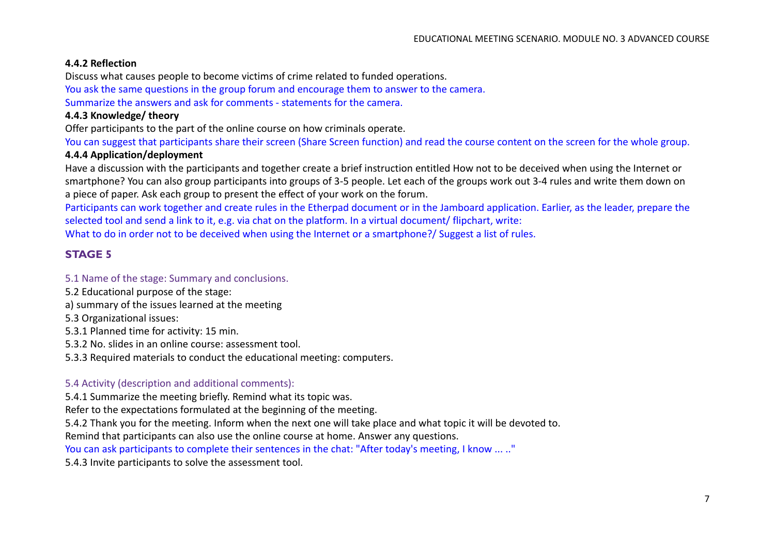#### **4.4.2 Reflection**

Discuss what causes people to become victims of crime related to funded operations.

You ask the same questions in the group forum and encourage them to answer to the camera. Summarize the answers and ask for comments - statements for the camera.

## **4.4.3 Knowledge/ theory**

Offer participants to the part of the online course on how criminals operate.

You can suggest that participants share their screen (Share Screen function) and read the course content on the screen for the whole group.

## **4.4.4 Application/deployment**

Have a discussion with the participants and together create a brief instruction entitled How not to be deceived when using the Internet or smartphone? You can also group participants into groups of 3-5 people. Let each of the groups work out 3-4 rules and write them down on a piece of paper. Ask each group to present the effect of your work on the forum.

Participants can work together and create rules in the Etherpad document or in the Jamboard application. Earlier, as the leader, prepare the selected tool and send a link to it, e.g. via chat on the platform. In a virtual document/ flipchart, write:

What to do in order not to be deceived when using the Internet or a smartphone?/ Suggest a list of rules.

# **STAGE 5**

#### 5.1 Name of the stage: Summary and conclusions.

- 5.2 Educational purpose of the stage:
- a) summary of the issues learned at the meeting
- 5.3 Organizational issues:
- 5.3.1 Planned time for activity: 15 min.
- 5.3.2 No. slides in an online course: assessment tool.
- 5.3.3 Required materials to conduct the educational meeting: computers.

## 5.4 Activity (description and additional comments):

5.4.1 Summarize the meeting briefly. Remind what its topic was.

Refer to the expectations formulated at the beginning of the meeting.

5.4.2 Thank you for the meeting. Inform when the next one will take place and what topic it will be devoted to.

Remind that participants can also use the online course at home. Answer any questions.

You can ask participants to complete their sentences in the chat: "After today's meeting, I know ... .."

5.4.3 Invite participants to solve the assessment tool.